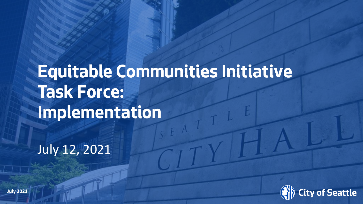# **Equitable Communities Initiative Task Force: Implementation**

July 12, 2021

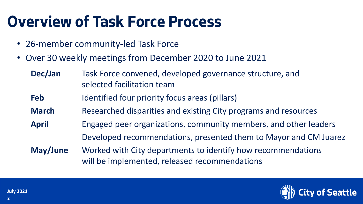#### **Overview of Task Force Process**

- 26-member community-led Task Force
- Over 30 weekly meetings from December 2020 to June 2021
	- **Dec/Jan** Task Force convened, developed governance structure, and selected facilitation team
	- **Feb** Identified four priority focus areas (pillars)
	- **March** Researched disparities and existing City programs and resources
	- **April** Engaged peer organizations, community members, and other leaders Developed recommendations, presented them to Mayor and CM Juarez
	- **May/June** Worked with City departments to identify how recommendations will be implemented, released recommendations

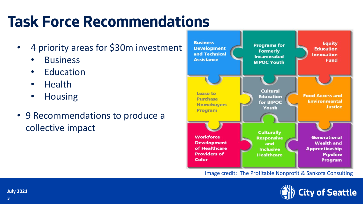### **Task Force Recommendations**

- 4 priority areas for \$30m investment
	- **Business**
	- Education
	- Health
	- Housing
- 9 Recommendations to produce a collective impact



Image credit: The Profitable Nonprofit & Sankofa Consulting

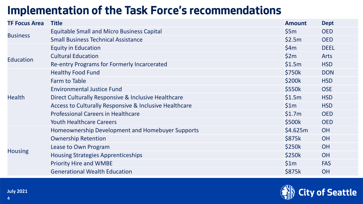#### **Implementation of the Task Force's recommendations**

| <b>TF Focus Area</b> | <b>Title</b>                                           | <b>Amount</b> | <b>Dept</b> |
|----------------------|--------------------------------------------------------|---------------|-------------|
| <b>Business</b>      | <b>Equitable Small and Micro Business Capital</b>      | \$5m          | <b>OED</b>  |
|                      | <b>Small Business Technical Assistance</b>             | \$2.5m        | <b>OED</b>  |
|                      | <b>Equity in Education</b>                             | \$4m          | <b>DEEL</b> |
| Education            | <b>Cultural Education</b>                              | \$2m          | <b>Arts</b> |
|                      | Re-entry Programs for Formerly Incarcerated            | \$1.5m        | <b>HSD</b>  |
|                      | <b>Healthy Food Fund</b>                               | \$750k        | <b>DON</b>  |
| <b>Health</b>        | Farm to Table                                          | \$200k        | <b>HSD</b>  |
|                      | <b>Environmental Justice Fund</b>                      | \$550k        | <b>OSE</b>  |
|                      | Direct Culturally Responsive & Inclusive Healthcare    | \$1.5m        | <b>HSD</b>  |
|                      | Access to Culturally Responsive & Inclusive Healthcare | \$1m          | <b>HSD</b>  |
|                      | <b>Professional Careers in Healthcare</b>              | \$1.7m        | <b>OED</b>  |
|                      | <b>Youth Healthcare Careers</b>                        | \$500k        | <b>OED</b>  |
| <b>Housing</b>       | Homeownership Development and Homebuyer Supports       | \$4.625m      | <b>OH</b>   |
|                      | <b>Ownership Retention</b>                             | \$875k        | <b>OH</b>   |
|                      | Lease to Own Program                                   | \$250k        | <b>OH</b>   |
|                      | <b>Housing Strategies Apprenticeships</b>              | \$250k        | <b>OH</b>   |
|                      | <b>Priority Hire and WMBE</b>                          | \$1m          | <b>FAS</b>  |
|                      | <b>Generational Wealth Education</b>                   | \$875k        | <b>OH</b>   |

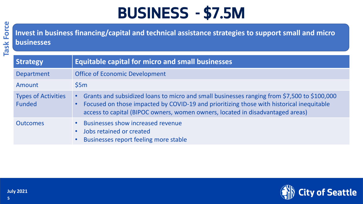### **BUSINESS - \$7.5M**

**Task Force 5Task Force**

**Invest in business financing/capital and technical assistance strategies to support small and micro businesses**

| <b>Strategy</b>                      | <b>Equitable capital for micro and small businesses</b>                                                                                                                                                                                                                   |
|--------------------------------------|---------------------------------------------------------------------------------------------------------------------------------------------------------------------------------------------------------------------------------------------------------------------------|
| <b>Department</b>                    | <b>Office of Economic Development</b>                                                                                                                                                                                                                                     |
| Amount                               | \$5m                                                                                                                                                                                                                                                                      |
| <b>Types of Activities</b><br>Funded | Grants and subsidized loans to micro and small businesses ranging from \$7,500 to \$100,000<br>Focused on those impacted by COVID-19 and prioritizing those with historical inequitable<br>access to capital (BIPOC owners, women owners, located in disadvantaged areas) |
| <b>Outcomes</b>                      | <b>Businesses show increased revenue</b><br>Jobs retained or created<br>Businesses report feeling more stable                                                                                                                                                             |

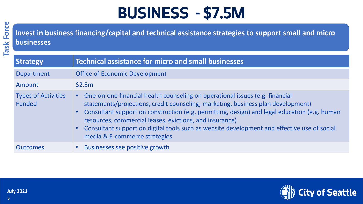### **BUSINESS - \$7.5M**

**Task Force 6Task Force**

**Invest in business financing/capital and technical assistance strategies to support small and micro businesses**

| Strategy                             | <b>Technical assistance for micro and small businesses</b>                                                                                                                                                                                                                                                                                                                                                                                                                 |
|--------------------------------------|----------------------------------------------------------------------------------------------------------------------------------------------------------------------------------------------------------------------------------------------------------------------------------------------------------------------------------------------------------------------------------------------------------------------------------------------------------------------------|
| <b>Department</b>                    | <b>Office of Economic Development</b>                                                                                                                                                                                                                                                                                                                                                                                                                                      |
| Amount                               | \$2.5m                                                                                                                                                                                                                                                                                                                                                                                                                                                                     |
| <b>Types of Activities</b><br>Funded | One-on-one financial health counseling on operational issues (e.g. financial<br>statements/projections, credit counseling, marketing, business plan development)<br>Consultant support on construction (e.g. permitting, design) and legal education (e.g. human<br>resources, commercial leases, evictions, and insurance)<br>Consultant support on digital tools such as website development and effective use of social<br>$\bullet$ .<br>media & E-commerce strategies |
| <b>Outcomes</b>                      | Businesses see positive growth                                                                                                                                                                                                                                                                                                                                                                                                                                             |

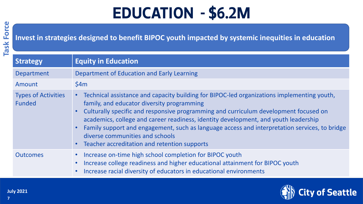## **EDUCATION - \$6.2M**

**Invest in strategies designed to benefit BIPOC youth impacted by systemic inequities in education**

| <b>Strategy</b>                             | <b>Equity in Education</b>                                                                                                                                                                                                                                                                                                                                                                                                                                                                                  |
|---------------------------------------------|-------------------------------------------------------------------------------------------------------------------------------------------------------------------------------------------------------------------------------------------------------------------------------------------------------------------------------------------------------------------------------------------------------------------------------------------------------------------------------------------------------------|
| Department                                  | Department of Education and Early Learning                                                                                                                                                                                                                                                                                                                                                                                                                                                                  |
| Amount                                      | \$4m                                                                                                                                                                                                                                                                                                                                                                                                                                                                                                        |
| <b>Types of Activities</b><br><b>Funded</b> | Technical assistance and capacity building for BIPOC-led organizations implementing youth,<br>family, and educator diversity programming<br>Culturally specific and responsive programming and curriculum development focused on<br>academics, college and career readiness, identity development, and youth leadership<br>Family support and engagement, such as language access and interpretation services, to bridge<br>diverse communities and schools<br>Teacher accreditation and retention supports |
| <b>Outcomes</b>                             | Increase on-time high school completion for BIPOC youth<br>Increase college readiness and higher educational attainment for BIPOC youth<br>Increase racial diversity of educators in educational environments                                                                                                                                                                                                                                                                                               |

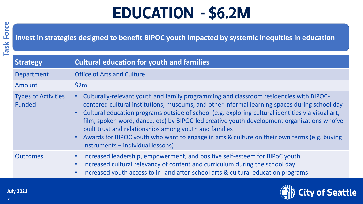## **EDUCATION - \$6.2M**

**Invest in strategies designed to benefit BIPOC youth impacted by systemic inequities in education**

| <b>Strategy</b>                             | <b>Cultural education for youth and families</b>                                                                                                                                                                                                                                                                                                                                                                                                                                                                                                                                          |
|---------------------------------------------|-------------------------------------------------------------------------------------------------------------------------------------------------------------------------------------------------------------------------------------------------------------------------------------------------------------------------------------------------------------------------------------------------------------------------------------------------------------------------------------------------------------------------------------------------------------------------------------------|
| <b>Department</b>                           | <b>Office of Arts and Culture</b>                                                                                                                                                                                                                                                                                                                                                                                                                                                                                                                                                         |
| Amount                                      | \$2m                                                                                                                                                                                                                                                                                                                                                                                                                                                                                                                                                                                      |
| <b>Types of Activities</b><br><b>Funded</b> | Culturally-relevant youth and family programming and classroom residencies with BIPOC-<br>centered cultural institutions, museums, and other informal learning spaces during school day<br>Cultural education programs outside of school (e.g. exploring cultural identities via visual art,<br>film, spoken word, dance, etc) by BIPOC-led creative youth development organizations who've<br>built trust and relationships among youth and families<br>Awards for BIPOC youth who want to engage in arts & culture on their own terms (e.g. buying<br>instruments + individual lessons) |
| <b>Outcomes</b>                             | Increased leadership, empowerment, and positive self-esteem for BIPoC youth<br>Increased cultural relevancy of content and curriculum during the school day<br>Increased youth access to in- and after-school arts & cultural education programs                                                                                                                                                                                                                                                                                                                                          |

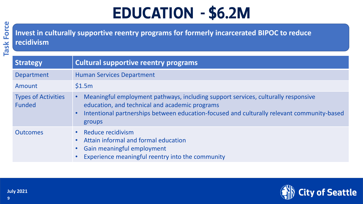## **EDUCATION - \$6.2M**

**Invest in culturally supportive reentry programs for formerly incarcerated BIPOC to reduce recidivism**

| <b>Strategy</b>                             | <b>Cultural supportive reentry programs</b>                                                                                                                                                                                                 |
|---------------------------------------------|---------------------------------------------------------------------------------------------------------------------------------------------------------------------------------------------------------------------------------------------|
| <b>Department</b>                           | <b>Human Services Department</b>                                                                                                                                                                                                            |
| Amount                                      | \$1.5m                                                                                                                                                                                                                                      |
| <b>Types of Activities</b><br><b>Funded</b> | Meaningful employment pathways, including support services, culturally responsive<br>education, and technical and academic programs<br>Intentional partnerships between education-focused and culturally relevant community-based<br>groups |
| <b>Outcomes</b>                             | Reduce recidivism<br>Attain informal and formal education<br>Gain meaningful employment<br>Experience meaningful reentry into the community                                                                                                 |

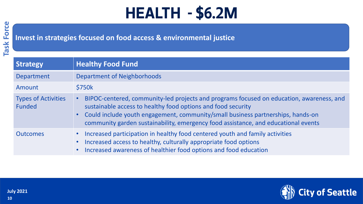#### **Invest in strategies focused on food access & environmental justice**

| <b>Strategy</b>                      | <b>Healthy Food Fund</b>                                                                                                                                                                                                                                                                                                            |
|--------------------------------------|-------------------------------------------------------------------------------------------------------------------------------------------------------------------------------------------------------------------------------------------------------------------------------------------------------------------------------------|
| Department                           | <b>Department of Neighborhoods</b>                                                                                                                                                                                                                                                                                                  |
| Amount                               | \$750k                                                                                                                                                                                                                                                                                                                              |
| <b>Types of Activities</b><br>Funded | BIPOC-centered, community-led projects and programs focused on education, awareness, and<br>sustainable access to healthy food options and food security<br>• Could include youth engagement, community/small business partnerships, hands-on<br>community garden sustainability, emergency food assistance, and educational events |
| <b>Outcomes</b>                      | Increased participation in healthy food centered youth and family activities<br>Increased access to healthy, culturally appropriate food options<br>Increased awareness of healthier food options and food education                                                                                                                |

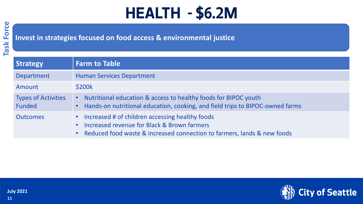#### **Invest in strategies focused on food access & environmental justice**

| <b>Strategy</b>                      | <b>Farm to Table</b>                                                                                                                                                      |
|--------------------------------------|---------------------------------------------------------------------------------------------------------------------------------------------------------------------------|
| Department                           | <b>Human Services Department</b>                                                                                                                                          |
| Amount                               | \$200k                                                                                                                                                                    |
| <b>Types of Activities</b><br>Funded | Nutritional education & access to healthy foods for BIPOC youth<br>Hands-on nutritional education, cooking, and field trips to BIPOC-owned farms                          |
| <b>Outcomes</b>                      | Increased # of children accessing healthy foods<br>Increased revenue for Black & Brown farmers<br>Reduced food waste & increased connection to farmers, lands & new foods |

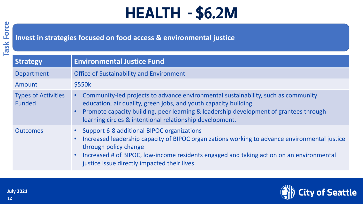#### **Invest in strategies focused on food access & environmental justice**

| <b>Strategy</b>                             | <b>Environmental Justice Fund</b>                                                                                                                                                                                                                                                                                 |
|---------------------------------------------|-------------------------------------------------------------------------------------------------------------------------------------------------------------------------------------------------------------------------------------------------------------------------------------------------------------------|
| Department                                  | <b>Office of Sustainability and Environment</b>                                                                                                                                                                                                                                                                   |
| Amount                                      | \$550k                                                                                                                                                                                                                                                                                                            |
| <b>Types of Activities</b><br><b>Funded</b> | Community-led projects to advance environmental sustainability, such as community<br>education, air quality, green jobs, and youth capacity building.<br>Promote capacity building, peer learning & leadership development of grantees through<br>learning circles & intentional relationship development.        |
| <b>Outcomes</b>                             | • Support 6-8 additional BIPOC organizations<br>Increased leadership capacity of BIPOC organizations working to advance environmental justice<br>through policy change<br>Increased # of BIPOC, low-income residents engaged and taking action on an environmental<br>justice issue directly impacted their lives |

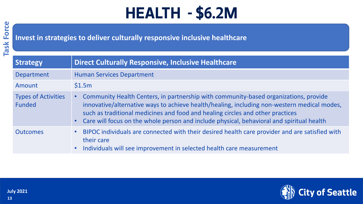**Invest in strategies to deliver culturally responsive inclusive healthcare** 

| <b>Strategy</b>                      | <b>Direct Culturally Responsive, Inclusive Healthcare</b>                                                                                                                                                                                                                                                                                                            |
|--------------------------------------|----------------------------------------------------------------------------------------------------------------------------------------------------------------------------------------------------------------------------------------------------------------------------------------------------------------------------------------------------------------------|
| Department                           | <b>Human Services Department</b>                                                                                                                                                                                                                                                                                                                                     |
| Amount                               | \$1.5m                                                                                                                                                                                                                                                                                                                                                               |
| <b>Types of Activities</b><br>Funded | Community Health Centers, in partnership with community-based organizations, provide<br>innovative/alternative ways to achieve health/healing, including non-western medical modes,<br>such as traditional medicines and food and healing circles and other practices<br>• Care will focus on the whole person and include physical, behavioral and spiritual health |
| <b>Outcomes</b>                      | • BIPOC individuals are connected with their desired health care provider and are satisfied with<br>their care<br>• Individuals will see improvement in selected health care measurement                                                                                                                                                                             |

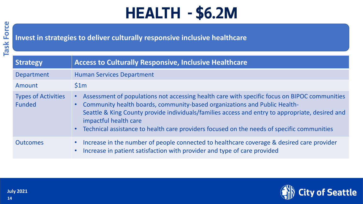**Invest in strategies to deliver culturally responsive inclusive healthcare** 

| <b>Strategy</b>                      | <b>Access to Culturally Responsive, Inclusive Healthcare</b>                                                                                                                                                                                                                                                                                                                                          |
|--------------------------------------|-------------------------------------------------------------------------------------------------------------------------------------------------------------------------------------------------------------------------------------------------------------------------------------------------------------------------------------------------------------------------------------------------------|
| Department                           | <b>Human Services Department</b>                                                                                                                                                                                                                                                                                                                                                                      |
| Amount                               | \$1m                                                                                                                                                                                                                                                                                                                                                                                                  |
| <b>Types of Activities</b><br>Funded | Assessment of populations not accessing health care with specific focus on BIPOC communities<br>Community health boards, community-based organizations and Public Health-<br>Seattle & King County provide individuals/families access and entry to appropriate, desired and<br>impactful health care<br>• Technical assistance to health care providers focused on the needs of specific communities |
| <b>Outcomes</b>                      | • Increase in the number of people connected to healthcare coverage & desired care provider<br>Increase in patient satisfaction with provider and type of care provided                                                                                                                                                                                                                               |

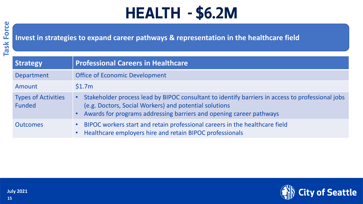**Invest in strategies to expand career pathways & representation in the healthcare field**

| <b>Strategy</b>                      | <b>Professional Careers in Healthcare</b>                                                                                                                                                                                         |
|--------------------------------------|-----------------------------------------------------------------------------------------------------------------------------------------------------------------------------------------------------------------------------------|
| <b>Department</b>                    | <b>Office of Economic Development</b>                                                                                                                                                                                             |
| Amount                               | \$1.7m                                                                                                                                                                                                                            |
| <b>Types of Activities</b><br>Funded | Stakeholder process lead by BIPOC consultant to identify barriers in access to professional jobs<br>(e.g. Doctors, Social Workers) and potential solutions<br>Awards for programs addressing barriers and opening career pathways |
| <b>Outcomes</b>                      | BIPOC workers start and retain professional careers in the healthcare field<br>Healthcare employers hire and retain BIPOC professionals                                                                                           |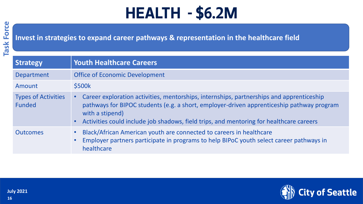#### **Invest in strategies to expand career pathways & representation in the healthcare field**

| <b>Strategy</b>                             | <b>Youth Healthcare Careers</b>                                                                                                                                                                                                                                                                     |
|---------------------------------------------|-----------------------------------------------------------------------------------------------------------------------------------------------------------------------------------------------------------------------------------------------------------------------------------------------------|
| Department                                  | <b>Office of Economic Development</b>                                                                                                                                                                                                                                                               |
| Amount                                      | \$500k                                                                                                                                                                                                                                                                                              |
| <b>Types of Activities</b><br><b>Funded</b> | Career exploration activities, mentorships, internships, partnerships and apprenticeship<br>pathways for BIPOC students (e.g. a short, employer-driven apprenticeship pathway program<br>with a stipend)<br>Activities could include job shadows, field trips, and mentoring for healthcare careers |
| <b>Outcomes</b>                             | Black/African American youth are connected to careers in healthcare<br>$\bullet$<br>Employer partners participate in programs to help BIPoC youth select career pathways in<br>$\bullet$<br>healthcare                                                                                              |

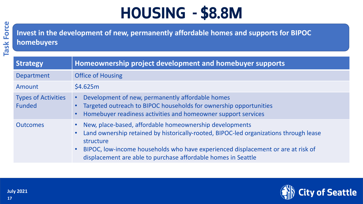**Invest in the development of new, permanently affordable homes and supports for BIPOC homebuyers**

| <b>Strategy</b>                             | Homeownership project development and homebuyer supports                                                                                                                                                                                                                                                           |
|---------------------------------------------|--------------------------------------------------------------------------------------------------------------------------------------------------------------------------------------------------------------------------------------------------------------------------------------------------------------------|
| Department                                  | <b>Office of Housing</b>                                                                                                                                                                                                                                                                                           |
| Amount                                      | \$4.625m                                                                                                                                                                                                                                                                                                           |
| <b>Types of Activities</b><br><b>Funded</b> | Development of new, permanently affordable homes<br>Targeted outreach to BIPOC households for ownership opportunities<br>Homebuyer readiness activities and homeowner support services                                                                                                                             |
| <b>Outcomes</b>                             | New, place-based, affordable homeownership developments<br>Land ownership retained by historically-rooted, BIPOC-led organizations through lease<br>structure<br>BIPOC, low-income households who have experienced displacement or are at risk of<br>displacement are able to purchase affordable homes in Seattle |

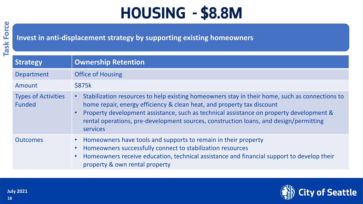**Invest in anti-displacement strategy by supporting existing homeowners**

| Strategy                                    | <b>Ownership Retention</b>                                                                                                                                                                                                                                                                                                                                               |
|---------------------------------------------|--------------------------------------------------------------------------------------------------------------------------------------------------------------------------------------------------------------------------------------------------------------------------------------------------------------------------------------------------------------------------|
| <b>Department</b>                           | <b>Office of Housing</b>                                                                                                                                                                                                                                                                                                                                                 |
| Amount                                      | <b>\$875k</b>                                                                                                                                                                                                                                                                                                                                                            |
| <b>Types of Activities</b><br><b>Funded</b> | Stabilization resources to help existing homeowners stay in their home, such as connections to<br>home repair, energy efficiency & clean heat, and property tax discount<br>Property development assistance, such as technical assistance on property development &<br>rental operations, pre-development sources, construction loans, and design/permitting<br>services |
| <b>Outcomes</b>                             | Homeowners have tools and supports to remain in their property<br>Homeowners successfully connect to stabilization resources<br>Homeowners receive education, technical assistance and financial support to develop their<br>property & own rental property                                                                                                              |

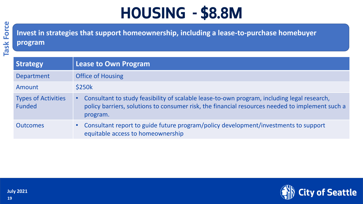**Invest in strategies that support homeownership, including a lease-to-purchase homebuyer** 

#### **program**

| <b>Strategy</b>                      | <b>Lease to Own Program</b>                                                                                                                                                                                |
|--------------------------------------|------------------------------------------------------------------------------------------------------------------------------------------------------------------------------------------------------------|
| Department                           | <b>Office of Housing</b>                                                                                                                                                                                   |
| Amount                               | <b>\$250k</b>                                                                                                                                                                                              |
| <b>Types of Activities</b><br>Funded | Consultant to study feasibility of scalable lease-to-own program, including legal research,<br>policy barriers, solutions to consumer risk, the financial resources needed to implement such a<br>program. |
| <b>Outcomes</b>                      | Consultant report to guide future program/policy development/investments to support<br>$\bullet$ .<br>equitable access to homeownership                                                                    |

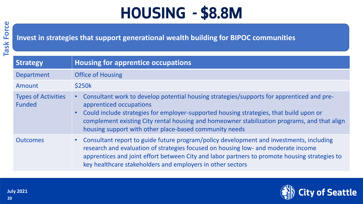#### **Invest in strategies that support generational wealth building for BIPOC communities**

| Strategy                                    | <b>Housing for apprentice occupations</b>                                                                                                                                                                                                                                                                                                                                  |
|---------------------------------------------|----------------------------------------------------------------------------------------------------------------------------------------------------------------------------------------------------------------------------------------------------------------------------------------------------------------------------------------------------------------------------|
| <b>Department</b>                           | <b>Office of Housing</b>                                                                                                                                                                                                                                                                                                                                                   |
| Amount                                      | <b>\$250k</b>                                                                                                                                                                                                                                                                                                                                                              |
| <b>Types of Activities</b><br><b>Funded</b> | Consultant work to develop potential housing strategies/supports for apprenticed and pre-<br>apprenticed occupations<br>• Could include strategies for employer-supported housing strategies, that build upon or<br>complement existing City rental housing and homeowner stabilization programs, and that align<br>housing support with other place-based community needs |
| <b>Outcomes</b>                             | Consultant report to guide future program/policy development and investments, including<br>$\bullet$ .<br>research and evaluation of strategies focused on housing low- and moderate income<br>apprentices and joint effort between City and labor partners to promote housing strategies to<br>key healthcare stakeholders and employers in other sectors                 |

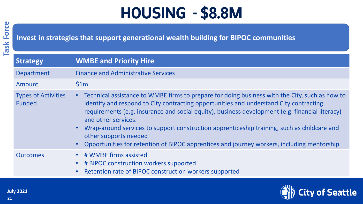#### **Invest in strategies that support generational wealth building for BIPOC communities**

| <b>Strategy</b>                             | <b>WMBE and Priority Hire</b>                                                                                                                                                                                                                                                                                                                                                                                                                                                                                                            |
|---------------------------------------------|------------------------------------------------------------------------------------------------------------------------------------------------------------------------------------------------------------------------------------------------------------------------------------------------------------------------------------------------------------------------------------------------------------------------------------------------------------------------------------------------------------------------------------------|
| Department                                  | <b>Finance and Administrative Services</b>                                                                                                                                                                                                                                                                                                                                                                                                                                                                                               |
| Amount                                      | \$1m                                                                                                                                                                                                                                                                                                                                                                                                                                                                                                                                     |
| <b>Types of Activities</b><br><b>Funded</b> | Technical assistance to WMBE firms to prepare for doing business with the City, such as how to<br>identify and respond to City contracting opportunities and understand City contracting<br>requirements (e.g. insurance and social equity), business development (e.g. financial literacy)<br>and other services.<br>Wrap-around services to support construction apprenticeship training, such as childcare and<br>other supports needed<br>Opportunities for retention of BIPOC apprentices and journey workers, including mentorship |
| <b>Outcomes</b>                             | # WMBE firms assisted<br># BIPOC construction workers supported<br>Retention rate of BIPOC construction workers supported                                                                                                                                                                                                                                                                                                                                                                                                                |